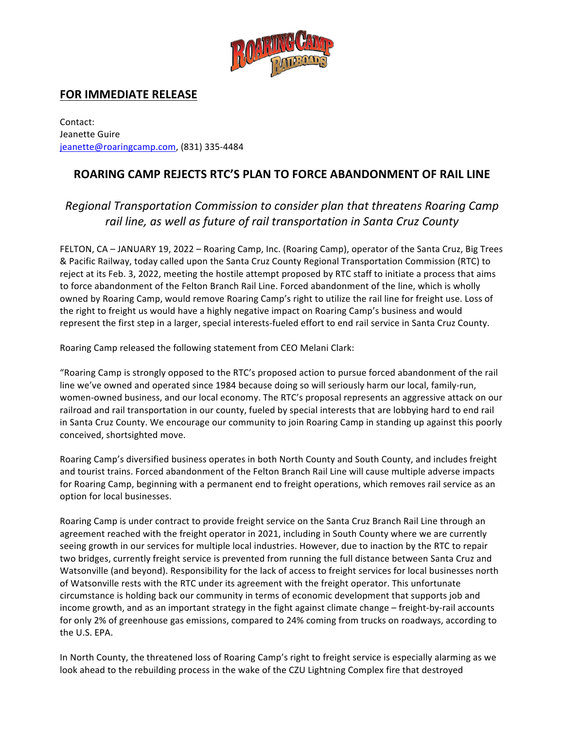

## **FOR IMMEDIATE RELEASE**

Contact: Jeanette Guire jeanette@roaringcamp.com, (831) 335-4484

## **ROARING CAMP REJECTS RTC'S PLAN TO FORCE ABANDONMENT OF RAIL LINE**

## *Regional Transportation Commission to consider plan that threatens Roaring Camp* rail line, as well as future of rail transportation in Santa Cruz County

FELTON, CA – JANUARY 19, 2022 – Roaring Camp, Inc. (Roaring Camp), operator of the Santa Cruz, Big Trees & Pacific Railway, today called upon the Santa Cruz County Regional Transportation Commission (RTC) to reject at its Feb. 3, 2022, meeting the hostile attempt proposed by RTC staff to initiate a process that aims to force abandonment of the Felton Branch Rail Line. Forced abandonment of the line, which is wholly owned by Roaring Camp, would remove Roaring Camp's right to utilize the rail line for freight use. Loss of the right to freight us would have a highly negative impact on Roaring Camp's business and would represent the first step in a larger, special interests-fueled effort to end rail service in Santa Cruz County.

Roaring Camp released the following statement from CEO Melani Clark:

"Roaring Camp is strongly opposed to the RTC's proposed action to pursue forced abandonment of the rail line we've owned and operated since 1984 because doing so will seriously harm our local, family-run, women-owned business, and our local economy. The RTC's proposal represents an aggressive attack on our railroad and rail transportation in our county, fueled by special interests that are lobbying hard to end rail in Santa Cruz County. We encourage our community to join Roaring Camp in standing up against this poorly conceived, shortsighted move.

Roaring Camp's diversified business operates in both North County and South County, and includes freight and tourist trains. Forced abandonment of the Felton Branch Rail Line will cause multiple adverse impacts for Roaring Camp, beginning with a permanent end to freight operations, which removes rail service as an option for local businesses.

Roaring Camp is under contract to provide freight service on the Santa Cruz Branch Rail Line through an agreement reached with the freight operator in 2021, including in South County where we are currently seeing growth in our services for multiple local industries. However, due to inaction by the RTC to repair two bridges, currently freight service is prevented from running the full distance between Santa Cruz and Watsonville (and beyond). Responsibility for the lack of access to freight services for local businesses north of Watsonville rests with the RTC under its agreement with the freight operator. This unfortunate circumstance is holding back our community in terms of economic development that supports job and income growth, and as an important strategy in the fight against climate change – freight-by-rail accounts for only 2% of greenhouse gas emissions, compared to 24% coming from trucks on roadways, according to the U.S. EPA.

In North County, the threatened loss of Roaring Camp's right to freight service is especially alarming as we look ahead to the rebuilding process in the wake of the CZU Lightning Complex fire that destroyed